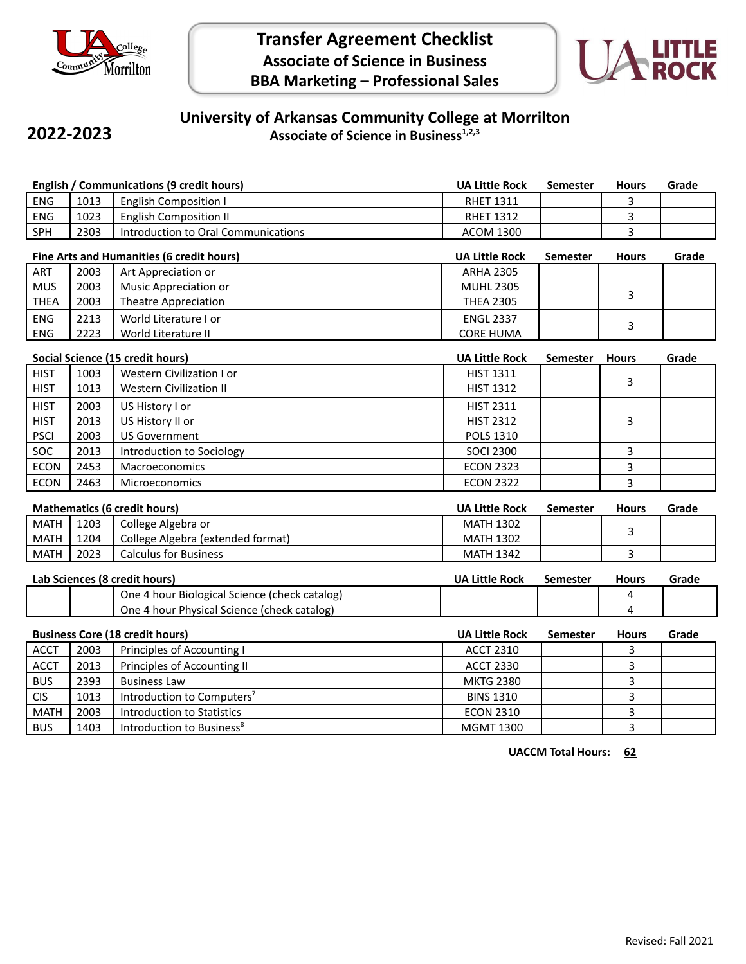

**2022-2023**



## **University of Arkansas Community College at Morrilton Associate of Science in Business1,2,3**

| <b>English / Communications (9 credit hours)</b> |                                           |                                               | <b>UA Little Rock</b>                     | <b>Semester</b> | <b>Hours</b> | Grade |
|--------------------------------------------------|-------------------------------------------|-----------------------------------------------|-------------------------------------------|-----------------|--------------|-------|
| ENG                                              | 1013                                      | <b>English Composition I</b>                  | <b>RHET 1311</b>                          |                 | 3            |       |
| <b>ENG</b>                                       | 1023                                      | <b>English Composition II</b>                 | <b>RHET 1312</b>                          |                 | 3            |       |
| SPH                                              | 2303                                      | Introduction to Oral Communications           | <b>ACOM 1300</b>                          |                 | 3            |       |
|                                                  | Fine Arts and Humanities (6 credit hours) |                                               |                                           | <b>Semester</b> | <b>Hours</b> | Grade |
| ART                                              | 2003                                      | Art Appreciation or                           | <b>ARHA 2305</b>                          |                 |              |       |
| <b>MUS</b>                                       | 2003                                      | <b>Music Appreciation or</b>                  | <b>MUHL 2305</b>                          |                 |              |       |
| <b>THEA</b>                                      | 2003                                      | <b>Theatre Appreciation</b>                   | <b>THEA 2305</b>                          |                 | 3            |       |
| <b>ENG</b>                                       | 2213                                      | World Literature I or                         | <b>ENGL 2337</b>                          |                 |              |       |
| <b>ENG</b>                                       | 2223                                      | World Literature II                           | <b>CORE HUMA</b>                          |                 | 3            |       |
|                                                  |                                           | Social Science (15 credit hours)              | <b>UA Little Rock</b>                     | <b>Semester</b> | <b>Hours</b> | Grade |
| <b>HIST</b>                                      | 1003                                      | Western Civilization I or                     | <b>HIST 1311</b>                          |                 |              |       |
| <b>HIST</b>                                      | 1013                                      | <b>Western Civilization II</b>                | <b>HIST 1312</b>                          |                 | 3            |       |
| <b>HIST</b>                                      | 2003                                      | US History I or                               | <b>HIST 2311</b>                          |                 |              |       |
| <b>HIST</b>                                      | 2013                                      | US History II or                              | <b>HIST 2312</b>                          |                 | 3            |       |
| <b>PSCI</b>                                      | 2003                                      | <b>US Government</b>                          | POLS 1310                                 |                 |              |       |
| SOC                                              | 2013                                      | Introduction to Sociology                     | <b>SOCI 2300</b>                          |                 | 3            |       |
| <b>ECON</b>                                      | 2453                                      | Macroeconomics                                | <b>ECON 2323</b>                          |                 | 3            |       |
| <b>ECON</b>                                      | 2463                                      | Microeconomics                                | <b>ECON 2322</b>                          |                 | 3            |       |
| <b>Mathematics (6 credit hours)</b>              |                                           |                                               |                                           |                 |              |       |
| <b>MATH</b>                                      | 1203                                      | College Algebra or                            | <b>UA Little Rock</b><br><b>MATH 1302</b> | Semester        | <b>Hours</b> | Grade |
| <b>MATH</b>                                      | 1204                                      | College Algebra (extended format)             | <b>MATH 1302</b>                          |                 | 3            |       |
| <b>MATH</b>                                      | 2023                                      | <b>Calculus for Business</b>                  | <b>MATH 1342</b>                          |                 | 3            |       |
|                                                  |                                           |                                               |                                           |                 |              |       |
|                                                  |                                           | Lab Sciences (8 credit hours)                 | <b>UA Little Rock</b>                     | <b>Semester</b> | <b>Hours</b> | Grade |
|                                                  |                                           | One 4 hour Biological Science (check catalog) |                                           |                 | 4            |       |
|                                                  |                                           | One 4 hour Physical Science (check catalog)   |                                           |                 | 4            |       |
| <b>Business Core (18 credit hours)</b>           |                                           | UA Little Rock                                | <b>Semester</b>                           | <b>Hours</b>    | Grade        |       |
| <b>ACCT</b>                                      | 2003                                      | Principles of Accounting I                    | <b>ACCT 2310</b>                          |                 | 3            |       |
| <b>ACCT</b>                                      | 2013                                      | Principles of Accounting II                   | <b>ACCT 2330</b>                          |                 | 3            |       |
| <b>BUS</b>                                       | 2393                                      | <b>Business Law</b>                           | <b>MKTG 2380</b>                          |                 | 3            |       |
| <b>CIS</b>                                       | 1013                                      | Introduction to Computers <sup>7</sup>        | <b>BINS 1310</b>                          |                 | 3            |       |
| <b>MATH</b>                                      | 2003                                      | <b>Introduction to Statistics</b>             | <b>ECON 2310</b>                          |                 | 3            |       |
| <b>BUS</b>                                       | 1403                                      | Introduction to Business <sup>8</sup>         | <b>MGMT 1300</b>                          |                 | 3            |       |

**UACCM Total Hours: 62**